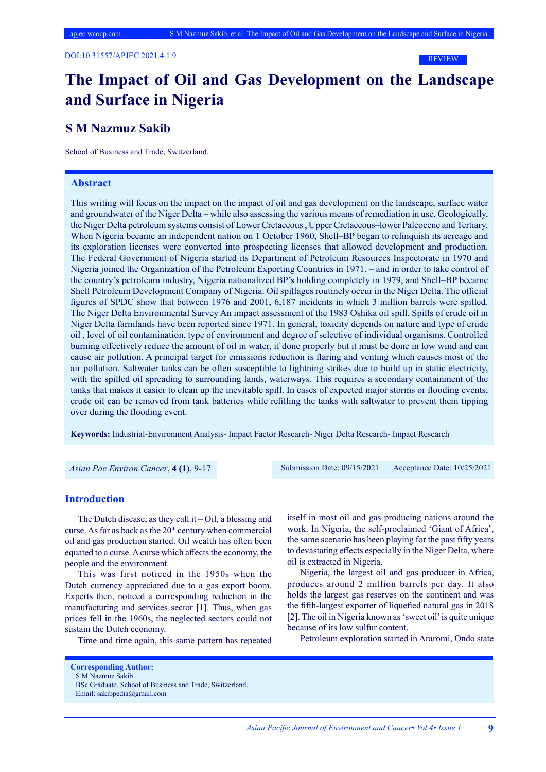#### REVIEW

## **The Impact of Oil and Gas Development on the Landscape and Surface in Nigeria**

## **S M Nazmuz Sakib**

School of Business and Trade, Switzerland.

## **Abstract**

This writing will focus on the impact on the impact of oil and gas development on the landscape, surface water and groundwater of the Niger Delta – while also assessing the various means of remediation in use. Geologically, the Niger Delta petroleum systems consist of Lower Cretaceous , Upper Cretaceous–lower Paleocene and Tertiary. When Nigeria became an independent nation on 1 October 1960, Shell–BP began to relinquish its acreage and its exploration licenses were converted into prospecting licenses that allowed development and production. The Federal Government of Nigeria started its Department of Petroleum Resources Inspectorate in 1970 and Nigeria joined the Organization of the Petroleum Exporting Countries in 1971. – and in order to take control of the country's petroleum industry, Nigeria nationalized BP's holding completely in 1979, and Shell–BP became Shell Petroleum Development Company of Nigeria. Oil spillages routinely occur in the Niger Delta. The official figures of SPDC show that between 1976 and 2001, 6,187 incidents in which 3 million barrels were spilled. The Niger Delta Environmental Survey An impact assessment of the 1983 Oshika oil spill. Spills of crude oil in Niger Delta farmlands have been reported since 1971. In general, toxicity depends on nature and type of crude oil , level of oil contamination, type of environment and degree of selective of individual organisms. Controlled burning effectively reduce the amount of oil in water, if done properly but it must be done in low wind and can cause air pollution. A principal target for emissions reduction is flaring and venting which causes most of the air pollution. Saltwater tanks can be often susceptible to lightning strikes due to build up in static electricity, with the spilled oil spreading to surrounding lands, waterways. This requires a secondary containment of the tanks that makes it easier to clean up the inevitable spill. In cases of expected major storms or flooding events, crude oil can be removed from tank batteries while refilling the tanks with saltwater to prevent them tipping over during the flooding event.

**Keywords:** Industrial-Environment Analysis- Impact Factor Research- Niger Delta Research- Impact Research

 *Asian Pac Environ Cancer*, **4 (1)**, 9-17 Submission Date: 09/15/2021 Acceptance Date: 10/25/2021

## **Introduction**

The Dutch disease, as they call it  $-$  Oil, a blessing and curse. As far as back as the 20<sup>th</sup> century when commercial oil and gas production started. Oil wealth has often been equated to a curse. A curse which affects the economy, the people and the environment.

This was first noticed in the 1950s when the Dutch currency appreciated due to a gas export boom. Experts then, noticed a corresponding reduction in the manufacturing and services sector [1]. Thus, when gas prices fell in the 1960s, the neglected sectors could not sustain the Dutch economy.

Time and time again, this same pattern has repeated

itself in most oil and gas producing nations around the work. In Nigeria, the self-proclaimed 'Giant of Africa', the same scenario has been playing for the past fifty years to devastating effects especially in the Niger Delta, where oil is extracted in Nigeria.

Nigeria, the largest oil and gas producer in Africa, produces around 2 million barrels per day. It also holds the largest gas reserves on the continent and was the fifth-largest exporter of liquefied natural gas in 2018 [2]. The oil in Nigeria known as 'sweet oil' is quite unique because of its low sulfur content.

Petroleum exploration started in Araromi, Ondo state

**Corresponding Author:** S M Nazmuz Sakib BSc Graduate, School of Business and Trade, Switzerland. Email: sakibpedia@gmail.com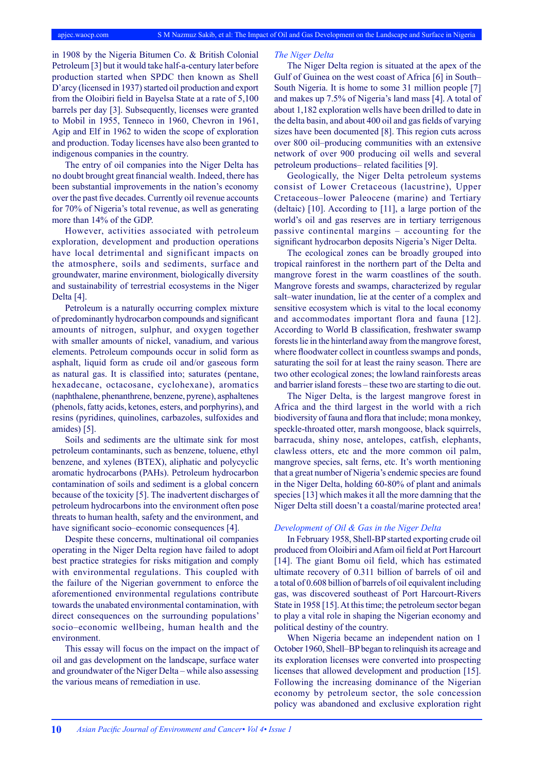in 1908 by the Nigeria Bitumen Co. & British Colonial Petroleum [3] but it would take half-a-century later before production started when SPDC then known as Shell D'arcy (licensed in 1937) started oil production and export from the Oloibiri field in Bayelsa State at a rate of 5,100 barrels per day [3]. Subsequently, licenses were granted to Mobil in 1955, Tenneco in 1960, Chevron in 1961, Agip and Elf in 1962 to widen the scope of exploration and production. Today licenses have also been granted to indigenous companies in the country.

The entry of oil companies into the Niger Delta has no doubt brought great financial wealth. Indeed, there has been substantial improvements in the nation's economy over the past five decades. Currently oil revenue accounts for 70% of Nigeria's total revenue, as well as generating more than 14% of the GDP.

However, activities associated with petroleum exploration, development and production operations have local detrimental and significant impacts on the atmosphere, soils and sediments, surface and groundwater, marine environment, biologically diversity and sustainability of terrestrial ecosystems in the Niger Delta [4].

Petroleum is a naturally occurring complex mixture of predominantly hydrocarbon compounds and significant amounts of nitrogen, sulphur, and oxygen together with smaller amounts of nickel, vanadium, and various elements. Petroleum compounds occur in solid form as asphalt, liquid form as crude oil and/or gaseous form as natural gas. It is classified into; saturates (pentane, hexadecane, octacosane, cyclohexane), aromatics (naphthalene, phenanthrene, benzene, pyrene), asphaltenes (phenols, fatty acids, ketones, esters, and porphyrins), and resins (pyridines, quinolines, carbazoles, sulfoxides and amides) [5].

Soils and sediments are the ultimate sink for most petroleum contaminants, such as benzene, toluene, ethyl benzene, and xylenes (BTEX), aliphatic and polycyclic aromatic hydrocarbons (PAHs). Petroleum hydrocarbon contamination of soils and sediment is a global concern because of the toxicity [5]. The inadvertent discharges of petroleum hydrocarbons into the environment often pose threats to human health, safety and the environment, and have significant socio–economic consequences [4].

Despite these concerns, multinational oil companies operating in the Niger Delta region have failed to adopt best practice strategies for risks mitigation and comply with environmental regulations. This coupled with the failure of the Nigerian government to enforce the aforementioned environmental regulations contribute towards the unabated environmental contamination, with direct consequences on the surrounding populations' socio–economic wellbeing, human health and the environment.

This essay will focus on the impact on the impact of oil and gas development on the landscape, surface water and groundwater of the Niger Delta – while also assessing the various means of remediation in use.

#### *The Niger Delta*

The Niger Delta region is situated at the apex of the Gulf of Guinea on the west coast of Africa [6] in South– South Nigeria. It is home to some 31 million people [7] and makes up 7.5% of Nigeria's land mass [4]. A total of about 1,182 exploration wells have been drilled to date in the delta basin, and about 400 oil and gas fields of varying sizes have been documented [8]. This region cuts across over 800 oil–producing communities with an extensive network of over 900 producing oil wells and several petroleum productions– related facilities [9].

Geologically, the Niger Delta petroleum systems consist of Lower Cretaceous (lacustrine), Upper Cretaceous–lower Paleocene (marine) and Tertiary (deltaic) [10]. According to [11], a large portion of the world's oil and gas reserves are in tertiary terrigenous passive continental margins – accounting for the significant hydrocarbon deposits Nigeria's Niger Delta.

The ecological zones can be broadly grouped into tropical rainforest in the northern part of the Delta and mangrove forest in the warm coastlines of the south. Mangrove forests and swamps, characterized by regular salt–water inundation, lie at the center of a complex and sensitive ecosystem which is vital to the local economy and accommodates important flora and fauna [12]. According to World B classification, freshwater swamp forests lie in the hinterland away from the mangrove forest, where floodwater collect in countless swamps and ponds, saturating the soil for at least the rainy season. There are two other ecological zones; the lowland rainforests areas and barrier island forests – these two are starting to die out.

The Niger Delta, is the largest mangrove forest in Africa and the third largest in the world with a rich biodiversity of fauna and flora that include; mona monkey, speckle-throated otter, marsh mongoose, black squirrels, barracuda, shiny nose, antelopes, catfish, elephants, clawless otters, etc and the more common oil palm, mangrove species, salt ferns, etc. It's worth mentioning that a great number of Nigeria's endemic species are found in the Niger Delta, holding 60-80% of plant and animals species [13] which makes it all the more damning that the Niger Delta still doesn't a coastal/marine protected area!

## *Development of Oil & Gas in the Niger Delta*

In February 1958, Shell-BP started exporting crude oil produced from Oloibiri and Afam oil field at Port Harcourt [14]. The giant Bomu oil field, which has estimated ultimate recovery of 0.311 billion of barrels of oil and a total of 0.608 billion of barrels of oil equivalent including gas, was discovered southeast of Port Harcourt-Rivers State in 1958 [15]. At this time; the petroleum sector began to play a vital role in shaping the Nigerian economy and political destiny of the country.

When Nigeria became an independent nation on 1 October 1960, Shell–BP began to relinquish its acreage and its exploration licenses were converted into prospecting licenses that allowed development and production [15]. Following the increasing dominance of the Nigerian economy by petroleum sector, the sole concession policy was abandoned and exclusive exploration right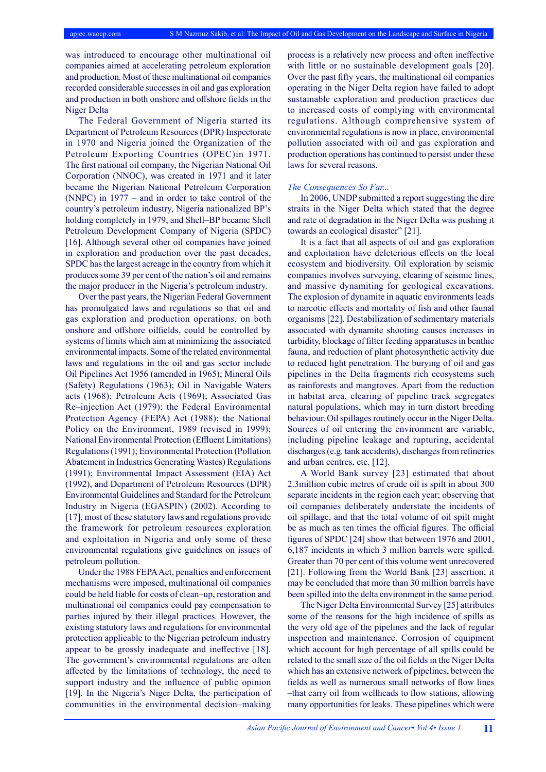was introduced to encourage other multinational oil companies aimed at accelerating petroleum exploration and production. Most of these multinational oil companies recorded considerable successes in oil and gas exploration and production in both onshore and offshore fields in the Niger Delta

The Federal Government of Nigeria started its Department of Petroleum Resources (DPR) Inspectorate in 1970 and Nigeria joined the Organization of the Petroleum Exporting Countries (OPEC)in 1971. The first national oil company, the Nigerian National Oil Corporation (NNOC), was created in 1971 and it later became the Nigerian National Petroleum Corporation (NNPC) in 1977 – and in order to take control of the country's petroleum industry, Nigeria nationalized BP's holding completely in 1979, and Shell–BP became Shell Petroleum Development Company of Nigeria (SPDC) [16]. Although several other oil companies have joined in exploration and production over the past decades, SPDC has the largest acreage in the country from which it produces some 39 per cent of the nation's oil and remains the major producer in the Nigeria's petroleum industry.

Over the past years, the Nigerian Federal Government has promulgated laws and regulations so that oil and gas exploration and production operations, on both onshore and offshore oilfields, could be controlled by systems of limits which aim at minimizing the associated environmental impacts. Some of the related environmental laws and regulations in the oil and gas sector include Oil Pipelines Act 1956 (amended in 1965); Mineral Oils (Safety) Regulations (1963); Oil in Navigable Waters acts (1968); Petroleum Acts (1969); Associated Gas Re–injection Act (1979); the Federal Environmental Protection Agency (FEPA) Act (1988); the National Policy on the Environment, 1989 (revised in 1999); National Environmental Protection (Effluent Limitations) Regulations (1991); Environmental Protection (Pollution Abatement in Industries Generating Wastes) Regulations (1991); Environmental Impact Assessment (EIA) Act (1992), and Department of Petroleum Resources (DPR) Environmental Guidelines and Standard for the Petroleum Industry in Nigeria (EGASPIN) (2002). According to [17], most of these statutory laws and regulations provide the framework for petroleum resources exploration and exploitation in Nigeria and only some of these environmental regulations give guidelines on issues of petroleum pollution.

Under the 1988 FEPA Act, penalties and enforcement mechanisms were imposed, multinational oil companies could be held liable for costs of clean–up, restoration and multinational oil companies could pay compensation to parties injured by their illegal practices. However, the existing statutory laws and regulations for environmental protection applicable to the Nigerian petroleum industry appear to be grossly inadequate and ineffective [18]. The government's environmental regulations are often affected by the limitations of technology, the need to support industry and the influence of public opinion [19]. In the Nigeria's Niger Delta, the participation of communities in the environmental decision–making

process is a relatively new process and often ineffective with little or no sustainable development goals [20]. Over the past fifty years, the multinational oil companies operating in the Niger Delta region have failed to adopt sustainable exploration and production practices due to increased costs of complying with environmental regulations. Although comprehensive system of environmental regulations is now in place, environmental pollution associated with oil and gas exploration and production operations has continued to persist under these laws for several reasons.

#### *The Consequences So Far...*

In 2006, UNDP submitted a report suggesting the dire straits in the Niger Delta which stated that the degree and rate of degradation in the Niger Delta was pushing it towards an ecological disaster" [21].

It is a fact that all aspects of oil and gas exploration and exploitation have deleterious effects on the local ecosystem and biodiversity. Oil exploration by seismic companies involves surveying, clearing of seismic lines, and massive dynamiting for geological excavations. The explosion of dynamite in aquatic environments leads to narcotic effects and mortality of fish and other faunal organisms [22]. Destabilization of sedimentary materials associated with dynamite shooting causes increases in turbidity, blockage of filter feeding apparatuses in benthic fauna, and reduction of plant photosynthetic activity due to reduced light penetration. The burying of oil and gas pipelines in the Delta fragments rich ecosystems such as rainforests and mangroves. Apart from the reduction in habitat area, clearing of pipeline track segregates natural populations, which may in turn distort breeding behaviour. Oil spillages routinely occur in the Niger Delta. Sources of oil entering the environment are variable, including pipeline leakage and rupturing, accidental discharges (e.g. tank accidents), discharges from refineries and urban centres, etc. [12].

A World Bank survey [23] estimated that about 2.3million cubic metres of crude oil is spilt in about 300 separate incidents in the region each year; observing that oil companies deliberately understate the incidents of oil spillage, and that the total volume of oil spilt might be as much as ten times the official figures. The official figures of SPDC [24] show that between 1976 and 2001, 6,187 incidents in which 3 million barrels were spilled. Greater than 70 per cent of this volume went unrecovered [21]. Following from the World Bank [23] assertion, it may be concluded that more than 30 million barrels have been spilled into the delta environment in the same period.

The Niger Delta Environmental Survey [25] attributes some of the reasons for the high incidence of spills as the very old age of the pipelines and the lack of regular inspection and maintenance. Corrosion of equipment which account for high percentage of all spills could be related to the small size of the oil fields in the Niger Delta which has an extensive network of pipelines, between the fields as well as numerous small networks of flow lines –that carry oil from wellheads to flow stations, allowing many opportunities for leaks. These pipelines which were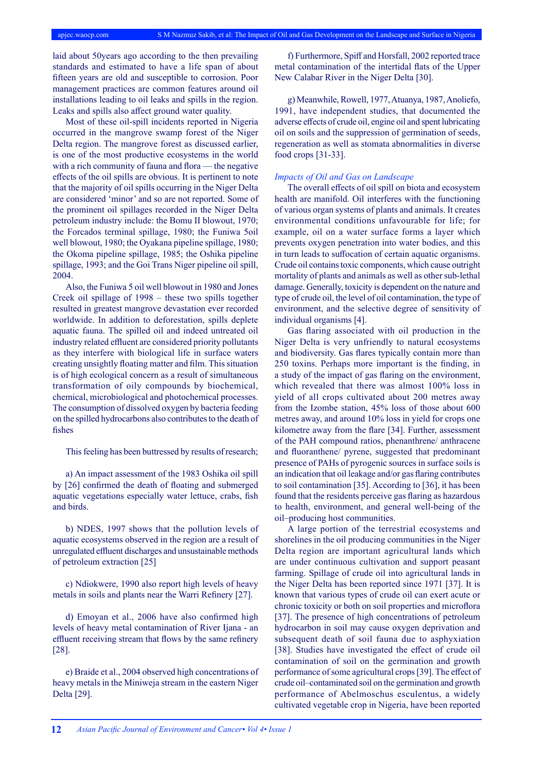laid about 50years ago according to the then prevailing standards and estimated to have a life span of about fifteen years are old and susceptible to corrosion. Poor management practices are common features around oil installations leading to oil leaks and spills in the region. Leaks and spills also affect ground water quality.

Most of these oil-spill incidents reported in Nigeria occurred in the mangrove swamp forest of the Niger Delta region. The mangrove forest as discussed earlier, is one of the most productive ecosystems in the world with a rich community of fauna and flora — the negative effects of the oil spills are obvious. It is pertinent to note that the majority of oil spills occurring in the Niger Delta are considered 'minor' and so are not reported. Some of the prominent oil spillages recorded in the Niger Delta petroleum industry include: the Bomu II blowout, 1970; the Forcados terminal spillage, 1980; the Funiwa 5oil well blowout, 1980; the Oyakana pipeline spillage, 1980; the Okoma pipeline spillage, 1985; the Oshika pipeline spillage, 1993; and the Goi Trans Niger pipeline oil spill, 2004.

Also, the Funiwa 5 oil well blowout in 1980 and Jones Creek oil spillage of 1998 – these two spills together resulted in greatest mangrove devastation ever recorded worldwide. In addition to deforestation, spills deplete aquatic fauna. The spilled oil and indeed untreated oil industry related effluent are considered priority pollutants as they interfere with biological life in surface waters creating unsightly floating matter and film. This situation is of high ecological concern as a result of simultaneous transformation of oily compounds by biochemical, chemical, microbiological and photochemical processes. The consumption of dissolved oxygen by bacteria feeding on the spilled hydrocarbons also contributes to the death of fishes

This feeling has been buttressed by results of research;

a) An impact assessment of the 1983 Oshika oil spill by [26] confirmed the death of floating and submerged aquatic vegetations especially water lettuce, crabs, fish and birds.

b) NDES, 1997 shows that the pollution levels of aquatic ecosystems observed in the region are a result of unregulated effluent discharges and unsustainable methods of petroleum extraction [25]

c) Ndiokwere, 1990 also report high levels of heavy metals in soils and plants near the Warri Refinery [27].

d) Emoyan et al., 2006 have also confirmed high levels of heavy metal contamination of River Ijana - an effluent receiving stream that flows by the same refinery [28].

e) Braide et al., 2004 observed high concentrations of heavy metals in the Miniweja stream in the eastern Niger Delta [29].

f) Furthermore, Spiff and Horsfall, 2002 reported trace metal contamination of the intertidal flats of the Upper New Calabar River in the Niger Delta [30].

g) Meanwhile, Rowell, 1977, Atuanya, 1987, Anoliefo, 1991, have independent studies, that documented the adverse effects of crude oil, engine oil and spent lubricating oil on soils and the suppression of germination of seeds, regeneration as well as stomata abnormalities in diverse food crops [31-33].

### *Impacts of Oil and Gas on Landscape*

The overall effects of oil spill on biota and ecosystem health are manifold. Oil interferes with the functioning of various organ systems of plants and animals. It creates environmental conditions unfavourable for life; for example, oil on a water surface forms a layer which prevents oxygen penetration into water bodies, and this in turn leads to suffocation of certain aquatic organisms. Crude oil contains toxic components, which cause outright mortality of plants and animals as well as other sub-lethal damage. Generally, toxicity is dependent on the nature and type of crude oil, the level of oil contamination, the type of environment, and the selective degree of sensitivity of individual organisms [4].

Gas flaring associated with oil production in the Niger Delta is very unfriendly to natural ecosystems and biodiversity. Gas flares typically contain more than 250 toxins. Perhaps more important is the finding, in a study of the impact of gas flaring on the environment, which revealed that there was almost 100% loss in yield of all crops cultivated about 200 metres away from the Izombe station, 45% loss of those about 600 metres away, and around 10% loss in yield for crops one kilometre away from the flare [34]. Further, assessment of the PAH compound ratios, phenanthrene/ anthracene and fluoranthene/ pyrene, suggested that predominant presence of PAHs of pyrogenic sources in surface soils is an indication that oil leakage and/or gas flaring contributes to soil contamination [35]. According to [36], it has been found that the residents perceive gas flaring as hazardous to health, environment, and general well-being of the oil–producing host communities.

A large portion of the terrestrial ecosystems and shorelines in the oil producing communities in the Niger Delta region are important agricultural lands which are under continuous cultivation and support peasant farming. Spillage of crude oil into agricultural lands in the Niger Delta has been reported since 1971 [37]. It is known that various types of crude oil can exert acute or chronic toxicity or both on soil properties and microflora [37]. The presence of high concentrations of petroleum hydrocarbon in soil may cause oxygen deprivation and subsequent death of soil fauna due to asphyxiation [38]. Studies have investigated the effect of crude oil contamination of soil on the germination and growth performance of some agricultural crops [39]. The effect of crude oil–contaminated soil on the germination and growth performance of Abelmoschus esculentus, a widely cultivated vegetable crop in Nigeria, have been reported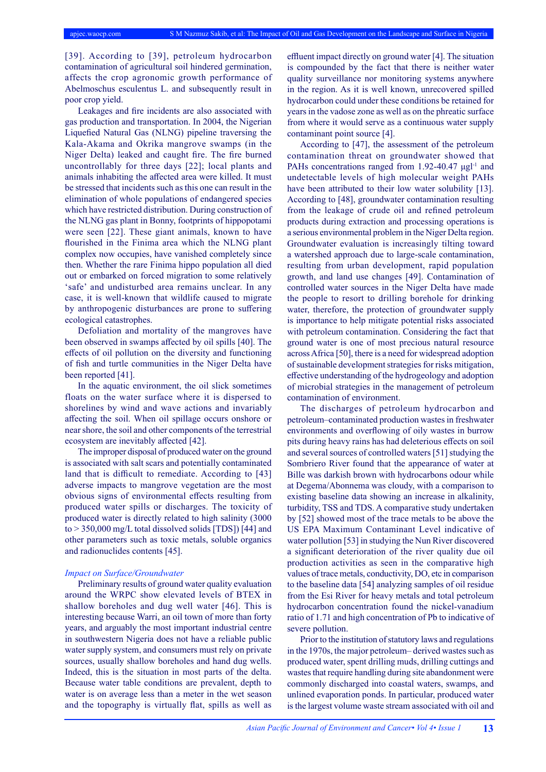[39]. According to [39], petroleum hydrocarbon contamination of agricultural soil hindered germination, affects the crop agronomic growth performance of Abelmoschus esculentus L. and subsequently result in poor crop yield.

Leakages and fire incidents are also associated with gas production and transportation. In 2004, the Nigerian Liquefied Natural Gas (NLNG) pipeline traversing the Kala-Akama and Okrika mangrove swamps (in the Niger Delta) leaked and caught fire. The fire burned uncontrollably for three days [22]; local plants and animals inhabiting the affected area were killed. It must be stressed that incidents such as this one can result in the elimination of whole populations of endangered species which have restricted distribution. During construction of the NLNG gas plant in Bonny, footprints of hippopotami were seen [22]. These giant animals, known to have flourished in the Finima area which the NLNG plant complex now occupies, have vanished completely since then. Whether the rare Finima hippo population all died out or embarked on forced migration to some relatively 'safe' and undisturbed area remains unclear. In any case, it is well-known that wildlife caused to migrate by anthropogenic disturbances are prone to suffering ecological catastrophes.

Defoliation and mortality of the mangroves have been observed in swamps affected by oil spills [40]. The effects of oil pollution on the diversity and functioning of fish and turtle communities in the Niger Delta have been reported [41].

In the aquatic environment, the oil slick sometimes floats on the water surface where it is dispersed to shorelines by wind and wave actions and invariably affecting the soil. When oil spillage occurs onshore or near shore, the soil and other components of the terrestrial ecosystem are inevitably affected [42].

The improper disposal of produced water on the ground is associated with salt scars and potentially contaminated land that is difficult to remediate. According to [43] adverse impacts to mangrove vegetation are the most obvious signs of environmental effects resulting from produced water spills or discharges. The toxicity of produced water is directly related to high salinity (3000 to > 350,000 mg/L total dissolved solids [TDS]) [44] and other parameters such as toxic metals, soluble organics and radionuclides contents [45].

#### *Impact on Surface/Groundwater*

Preliminary results of ground water quality evaluation around the WRPC show elevated levels of BTEX in shallow boreholes and dug well water [46]. This is interesting because Warri, an oil town of more than forty years, and arguably the most important industrial centre in southwestern Nigeria does not have a reliable public water supply system, and consumers must rely on private sources, usually shallow boreholes and hand dug wells. Indeed, this is the situation in most parts of the delta. Because water table conditions are prevalent, depth to water is on average less than a meter in the wet season and the topography is virtually flat, spills as well as

effluent impact directly on ground water [4]. The situation is compounded by the fact that there is neither water quality surveillance nor monitoring systems anywhere in the region. As it is well known, unrecovered spilled hydrocarbon could under these conditions be retained for years in the vadose zone as well as on the phreatic surface from where it would serve as a continuous water supply contaminant point source [4].

According to [47], the assessment of the petroleum contamination threat on groundwater showed that PAHs concentrations ranged from 1.92-40.47  $\mu$ gl<sup>-1</sup> and undetectable levels of high molecular weight PAHs have been attributed to their low water solubility [13]. According to [48], groundwater contamination resulting from the leakage of crude oil and refined petroleum products during extraction and processing operations is a serious environmental problem in the Niger Delta region. Groundwater evaluation is increasingly tilting toward a watershed approach due to large-scale contamination, resulting from urban development, rapid population growth, and land use changes [49]. Contamination of controlled water sources in the Niger Delta have made the people to resort to drilling borehole for drinking water, therefore, the protection of groundwater supply is importance to help mitigate potential risks associated with petroleum contamination. Considering the fact that ground water is one of most precious natural resource across Africa [50], there is a need for widespread adoption of sustainable development strategies for risks mitigation, effective understanding of the hydrogeology and adoption of microbial strategies in the management of petroleum contamination of environment.

The discharges of petroleum hydrocarbon and petroleum–contaminated production wastes in freshwater environments and overflowing of oily wastes in burrow pits during heavy rains has had deleterious effects on soil and several sources of controlled waters [51] studying the Sombriero River found that the appearance of water at Bille was darkish brown with hydrocarbons odour while at Degema/Abonnema was cloudy, with a comparison to existing baseline data showing an increase in alkalinity, turbidity, TSS and TDS. A comparative study undertaken by [52] showed most of the trace metals to be above the US EPA Maximum Contaminant Level indicative of water pollution [53] in studying the Nun River discovered a significant deterioration of the river quality due oil production activities as seen in the comparative high values of trace metals, conductivity, DO, etc in comparison to the baseline data [54] analyzing samples of oil residue from the Esi River for heavy metals and total petroleum hydrocarbon concentration found the nickel-vanadium ratio of 1.71 and high concentration of Pb to indicative of severe pollution.

Prior to the institution of statutory laws and regulations in the 1970s, the major petroleum– derived wastes such as produced water, spent drilling muds, drilling cuttings and wastes that require handling during site abandonment were commonly discharged into coastal waters, swamps, and unlined evaporation ponds. In particular, produced water is the largest volume waste stream associated with oil and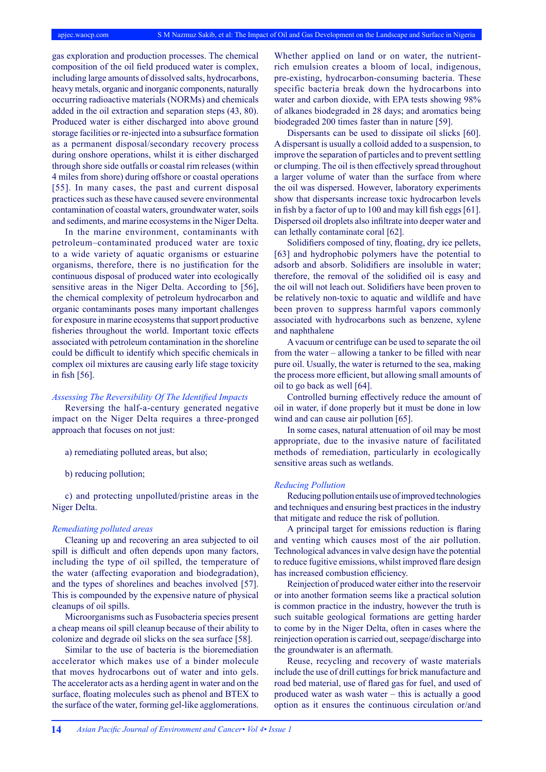gas exploration and production processes. The chemical composition of the oil field produced water is complex, including large amounts of dissolved salts, hydrocarbons, heavy metals, organic and inorganic components, naturally occurring radioactive materials (NORMs) and chemicals added in the oil extraction and separation steps (43, 80). Produced water is either discharged into above ground storage facilities or re-injected into a subsurface formation as a permanent disposal/secondary recovery process during onshore operations, whilst it is either discharged through shore side outfalls or coastal rim releases (within 4 miles from shore) during offshore or coastal operations [55]. In many cases, the past and current disposal practices such as these have caused severe environmental contamination of coastal waters, groundwater water, soils and sediments, and marine ecosystems in the Niger Delta.

In the marine environment, contaminants with petroleum–contaminated produced water are toxic to a wide variety of aquatic organisms or estuarine organisms, therefore, there is no justification for the continuous disposal of produced water into ecologically sensitive areas in the Niger Delta. According to [56], the chemical complexity of petroleum hydrocarbon and organic contaminants poses many important challenges for exposure in marine ecosystems that support productive fisheries throughout the world. Important toxic effects associated with petroleum contamination in the shoreline could be difficult to identify which specific chemicals in complex oil mixtures are causing early life stage toxicity in fish [56].

#### *Assessing The Reversibility Of The Identified Impacts*

Reversing the half-a-century generated negative impact on the Niger Delta requires a three-pronged approach that focuses on not just:

- a) remediating polluted areas, but also;
- b) reducing pollution;

c) and protecting unpolluted/pristine areas in the Niger Delta.

## *Remediating polluted areas*

Cleaning up and recovering an area subjected to oil spill is difficult and often depends upon many factors, including the type of oil spilled, the temperature of the water (affecting evaporation and biodegradation), and the types of shorelines and beaches involved [57]. This is compounded by the expensive nature of physical cleanups of oil spills.

Microorganisms such as Fusobacteria species present a cheap means oil spill cleanup because of their ability to colonize and degrade oil slicks on the sea surface [58].

Similar to the use of bacteria is the bioremediation accelerator which makes use of a binder molecule that moves hydrocarbons out of water and into gels. The accelerator acts as a herding agent in water and on the surface, floating molecules such as phenol and BTEX to the surface of the water, forming gel-like agglomerations.

Whether applied on land or on water, the nutrientrich emulsion creates a bloom of local, indigenous, pre-existing, hydrocarbon-consuming bacteria. These specific bacteria break down the hydrocarbons into water and carbon dioxide, with EPA tests showing 98% of alkanes biodegraded in 28 days; and aromatics being biodegraded 200 times faster than in nature [59].

Dispersants can be used to dissipate oil slicks [60]. A dispersant is usually a colloid added to a suspension, to improve the separation of particles and to prevent settling or clumping. The oil is then effectively spread throughout a larger volume of water than the surface from where the oil was dispersed. However, laboratory experiments show that dispersants increase toxic hydrocarbon levels in fish by a factor of up to 100 and may kill fish eggs [61]. Dispersed oil droplets also infiltrate into deeper water and can lethally contaminate coral [62].

Solidifiers composed of tiny, floating, dry ice pellets, [63] and hydrophobic polymers have the potential to adsorb and absorb. Solidifiers are insoluble in water; therefore, the removal of the solidified oil is easy and the oil will not leach out. Solidifiers have been proven to be relatively non-toxic to aquatic and wildlife and have been proven to suppress harmful vapors commonly associated with hydrocarbons such as benzene, xylene and naphthalene

A vacuum or centrifuge can be used to separate the oil from the water – allowing a tanker to be filled with near pure oil. Usually, the water is returned to the sea, making the process more efficient, but allowing small amounts of oil to go back as well [64].

Controlled burning effectively reduce the amount of oil in water, if done properly but it must be done in low wind and can cause air pollution [65].

In some cases, natural attenuation of oil may be most appropriate, due to the invasive nature of facilitated methods of remediation, particularly in ecologically sensitive areas such as wetlands.

#### *Reducing Pollution*

Reducing pollution entails use of improved technologies and techniques and ensuring best practices in the industry that mitigate and reduce the risk of pollution.

A principal target for emissions reduction is flaring and venting which causes most of the air pollution. Technological advances in valve design have the potential to reduce fugitive emissions, whilst improved flare design has increased combustion efficiency.

Reinjection of produced water either into the reservoir or into another formation seems like a practical solution is common practice in the industry, however the truth is such suitable geological formations are getting harder to come by in the Niger Delta, often in cases where the reinjection operation is carried out, seepage/discharge into the groundwater is an aftermath.

Reuse, recycling and recovery of waste materials include the use of drill cuttings for brick manufacture and road bed material, use of flared gas for fuel, and used of produced water as wash water – this is actually a good option as it ensures the continuous circulation or/and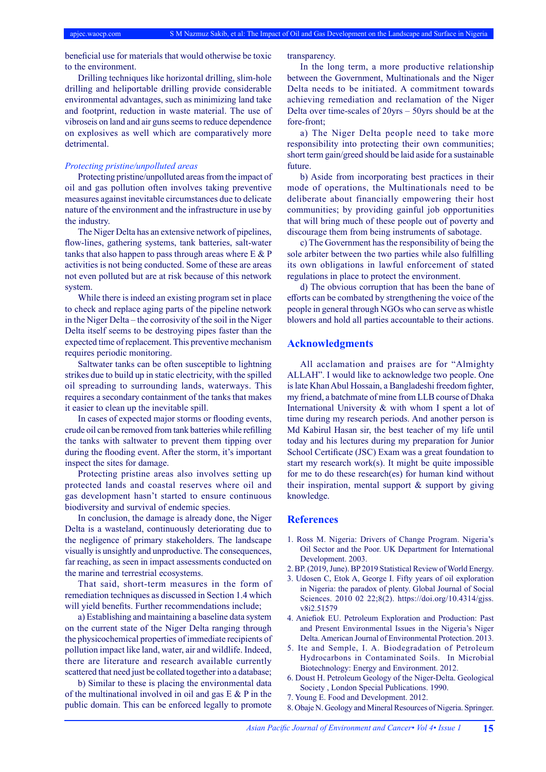beneficial use for materials that would otherwise be toxic to the environment.

Drilling techniques like horizontal drilling, slim-hole drilling and heliportable drilling provide considerable environmental advantages, such as minimizing land take and footprint, reduction in waste material. The use of vibroseis on land and air guns seems to reduce dependence on explosives as well which are comparatively more detrimental.

#### *Protecting pristine/unpolluted areas*

Protecting pristine/unpolluted areas from the impact of oil and gas pollution often involves taking preventive measures against inevitable circumstances due to delicate nature of the environment and the infrastructure in use by the industry.

The Niger Delta has an extensive network of pipelines, flow-lines, gathering systems, tank batteries, salt-water tanks that also happen to pass through areas where E & P activities is not being conducted. Some of these are areas not even polluted but are at risk because of this network system.

While there is indeed an existing program set in place to check and replace aging parts of the pipeline network in the Niger Delta – the corrosivity of the soil in the Niger Delta itself seems to be destroying pipes faster than the expected time of replacement. This preventive mechanism requires periodic monitoring.

Saltwater tanks can be often susceptible to lightning strikes due to build up in static electricity, with the spilled oil spreading to surrounding lands, waterways. This requires a secondary containment of the tanks that makes it easier to clean up the inevitable spill.

In cases of expected major storms or flooding events, crude oil can be removed from tank batteries while refilling the tanks with saltwater to prevent them tipping over during the flooding event. After the storm, it's important inspect the sites for damage.

Protecting pristine areas also involves setting up protected lands and coastal reserves where oil and gas development hasn't started to ensure continuous biodiversity and survival of endemic species.

In conclusion, the damage is already done, the Niger Delta is a wasteland, continuously deteriorating due to the negligence of primary stakeholders. The landscape visually is unsightly and unproductive. The consequences, far reaching, as seen in impact assessments conducted on the marine and terrestrial ecosystems.

That said, short-term measures in the form of remediation techniques as discussed in Section 1.4 which will yield benefits. Further recommendations include;

a) Establishing and maintaining a baseline data system on the current state of the Niger Delta ranging through the physicochemical properties of immediate recipients of pollution impact like land, water, air and wildlife. Indeed, there are literature and research available currently scattered that need just be collated together into a database;

b) Similar to these is placing the environmental data of the multinational involved in oil and gas  $E \& P$  in the public domain. This can be enforced legally to promote

transparency.

In the long term, a more productive relationship between the Government, Multinationals and the Niger Delta needs to be initiated. A commitment towards achieving remediation and reclamation of the Niger Delta over time-scales of 20yrs – 50yrs should be at the fore-front;

a) The Niger Delta people need to take more responsibility into protecting their own communities; short term gain/greed should be laid aside for a sustainable future.

b) Aside from incorporating best practices in their mode of operations, the Multinationals need to be deliberate about financially empowering their host communities; by providing gainful job opportunities that will bring much of these people out of poverty and discourage them from being instruments of sabotage.

c) The Government has the responsibility of being the sole arbiter between the two parties while also fulfilling its own obligations in lawful enforcement of stated regulations in place to protect the environment.

d) The obvious corruption that has been the bane of efforts can be combated by strengthening the voice of the people in general through NGOs who can serve as whistle blowers and hold all parties accountable to their actions.

### **Acknowledgments**

All acclamation and praises are for "Almighty ALLAH". I would like to acknowledge two people. One is late Khan Abul Hossain, a Bangladeshi freedom fighter, my friend, a batchmate of mine from LLB course of Dhaka International University & with whom I spent a lot of time during my research periods. And another person is Md Kabirul Hasan sir, the best teacher of my life until today and his lectures during my preparation for Junior School Certificate (JSC) Exam was a great foundation to start my research work(s). It might be quite impossible for me to do these research(es) for human kind without their inspiration, mental support & support by giving knowledge.

## **References**

- 1. Ross M. Nigeria: Drivers of Change Program. Nigeria's Oil Sector and the Poor. UK Department for International Development. 2003.
- 2. BP. (2019, June). BP 2019 Statistical Review of World Energy.
- 3. Udosen C, Etok A, George I. Fifty years of oil exploration in Nigeria: the paradox of plenty. Global Journal of Social Sciences. 2010 02 22;8(2). https://doi.org/10.4314/gjss. v8i2.51579
- 4. Aniefiok EU. Petroleum Exploration and Production: Past and Present Environmental Issues in the Nigeria's Niger Delta. American Journal of Environmental Protection. 2013.
- 5. Ite and Semple, I. A. Biodegradation of Petroleum Hydrocarbons in Contaminated Soils. In Microbial Biotechnology: Energy and Environment. 2012.
- 6. Doust H. Petroleum Geology of the Niger-Delta. Geological Society , London Special Publications. 1990.
- 7. Young E. Food and Development. 2012.
- 8. Obaje N. Geology and Mineral Resources of Nigeria. Springer.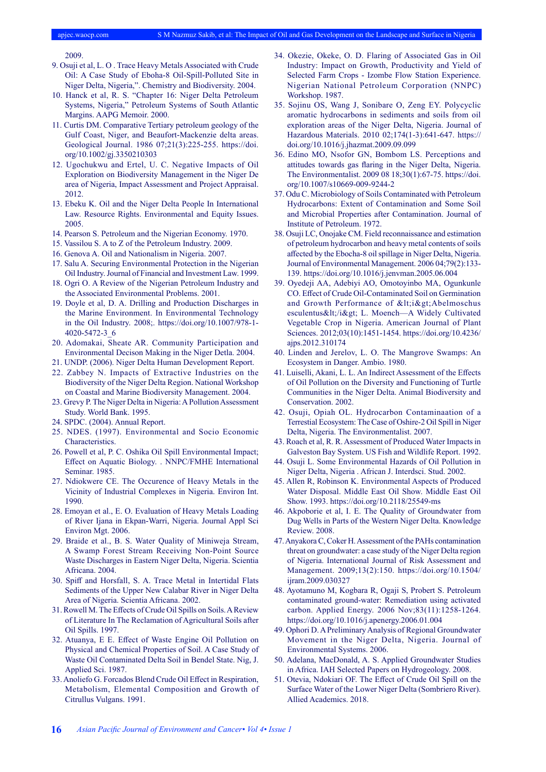2009.

- 9. Osuji et al, L. O . Trace Heavy Metals Associated with Crude Oil: A Case Study of Eboha-8 Oil-Spill-Polluted Site in Niger Delta, Nigeria,". Chemistry and Biodiversity. 2004.
- 10. Hanck et al, R. S. "Chapter 16: Niger Delta Petroleum Systems, Nigeria," Petroleum Systems of South Atlantic Margins. AAPG Memoir. 2000.
- 11. Curtis DM. Comparative Tertiary petroleum geology of the Gulf Coast, Niger, and Beaufort-Mackenzie delta areas. Geological Journal. 1986 07;21(3):225-255. https://doi. org/10.1002/gj.3350210303
- 12. Ugochukwu and Ertel, U. C. Negative Impacts of Oil Exploration on Biodiversity Management in the Niger De area of Nigeria, Impact Assessment and Project Appraisal. 2012.
- 13. Ebeku K. Oil and the Niger Delta People In International Law. Resource Rights. Environmental and Equity Issues. 2005.
- 14. Pearson S. Petroleum and the Nigerian Economy. 1970.
- 15. Vassilou S. A to Z of the Petroleum Industry. 2009.
- 16. Genova A. Oil and Nationalism in Nigeria. 2007.
- 17. Salu A. Securing Environmental Protection in the Nigerian Oil Industry. Journal of Financial and Investment Law. 1999.
- 18. Ogri O. A Review of the Nigerian Petroleum Industry and the Associated Environmental Problems. 2001.
- 19. Doyle et al, D. A. Drilling and Production Discharges in the Marine Environment. In Environmental Technology in the Oil Industry. 2008;. https://doi.org/10.1007/978-1- 4020-5472-3\_6
- 20. Adomakai, Sheate AR. Community Participation and Environmental Decison Making in the Niger Detla. 2004.
- 21. UNDP. (2006). Niger Delta Human Development Report.
- 22. Zabbey N. Impacts of Extractive Industries on the Biodiversity of the Niger Delta Region. National Workshop on Coastal and Marine Biodiversity Management. 2004.
- 23. Grevy P. The Niger Delta in Nigeria: A Pollution Assessment Study. World Bank. 1995.
- 24. SPDC. (2004). Annual Report.
- 25. NDES. (1997). Environmental and Socio Economic Characteristics.
- 26. Powell et al, P. C. Oshika Oil Spill Environmental Impact; Effect on Aquatic Biology. . NNPC/FMHE International Seminar. 1985.
- 27. Ndiokwere CE. The Occurence of Heavy Metals in the Vicinity of Industrial Complexes in Nigeria. Environ Int. 1990.
- 28. Emoyan et al., E. O. Evaluation of Heavy Metals Loading of River Ijana in Ekpan-Warri, Nigeria. Journal Appl Sci Environ Mgt. 2006.
- 29. Braide et al., B. S. Water Quality of Miniweja Stream, A Swamp Forest Stream Receiving Non-Point Source Waste Discharges in Eastern Niger Delta, Nigeria. Scientia Africana. 2004.
- 30. Spiff and Horsfall, S. A. Trace Metal in Intertidal Flats Sediments of the Upper New Calabar River in Niger Delta Area of Nigeria. Scientia Africana. 2002.
- 31. Rowell M. The Effects of Crude Oil Spills on Soils. A Review of Literature In The Reclamation of Agricultural Soils after Oil Spills. 1997.
- 32. Atuanya, E E. Effect of Waste Engine Oil Pollution on Physical and Chemical Properties of Soil. A Case Study of Waste Oil Contaminated Delta Soil in Bendel State. Nig, J. Applied Sci. 1987.
- 33. Anoliefo G. Forcados Blend Crude Oil Effect in Respiration, Metabolism, Elemental Composition and Growth of Citrullus Vulgans. 1991.
- 34. Okezie, Okeke, O. D. Flaring of Associated Gas in Oil Industry: Impact on Growth, Productivity and Yield of Selected Farm Crops - Izombe Flow Station Experience. Nigerian National Petroleum Corporation (NNPC) Workshop. 1987.
- 35. Sojinu OS, Wang J, Sonibare O, Zeng EY. Polycyclic aromatic hydrocarbons in sediments and soils from oil exploration areas of the Niger Delta, Nigeria. Journal of Hazardous Materials. 2010 02;174(1-3):641-647. https:// doi.org/10.1016/j.jhazmat.2009.09.099
- 36. Edino MO, Nsofor GN, Bombom LS. Perceptions and attitudes towards gas flaring in the Niger Delta, Nigeria. The Environmentalist. 2009 08 18;30(1):67-75. https://doi. org/10.1007/s10669-009-9244-2
- 37. Odu C. Microbiology of Soils Contaminated with Petroleum Hydrocarbons: Extent of Contamination and Some Soil and Microbial Properties after Contamination. Journal of Institute of Petroleum. 1972.
- 38. Osuji LC, Onojake CM. Field reconnaissance and estimation of petroleum hydrocarbon and heavy metal contents of soils affected by the Ebocha-8 oil spillage in Niger Delta, Nigeria. Journal of Environmental Management. 2006 04;79(2):133- 139. https://doi.org/10.1016/j.jenvman.2005.06.004
- 39. Oyedeji AA, Adebiyi AO, Omotoyinbo MA, Ogunkunle CO. Effect of Crude Oil-Contaminated Soil on Germination and Growth Performance of <i&gt;Abelmoschus esculentus</i&gt; L. Moench---A Widely Cultivated Vegetable Crop in Nigeria. American Journal of Plant Sciences. 2012;03(10):1451-1454. https://doi.org/10.4236/ ajps.2012.310174
- 40. Linden and Jerelov, L. O. The Mangrove Swamps: An Ecosystem in Danger. Ambio. 1980.
- 41. Luiselli, Akani, L. L. An Indirect Assessment of the Effects of Oil Pollution on the Diversity and Functioning of Turtle Communities in the Niger Delta. Animal Biodiversity and Conservation. 2002.
- 42. Osuji, Opiah OL. Hydrocarbon Contaminaation of a Terrestial Ecosystem: The Case of Oshire-2 Oil Spill in Niger Delta, Nigeria. The Environmentalist. 2007.
- 43. Roach et al, R. R. Assessment of Produced Water Impacts in Galveston Bay System. US Fish and Wildlife Report. 1992.
- 44. Osuji L. Some Environmental Hazards of Oil Pollution in Niger Delta, Nigeria . African J. Interdsci. Stud. 2002.
- 45. Allen R, Robinson K. Environmental Aspects of Produced Water Disposal. Middle East Oil Show. Middle East Oil Show. 1993. https://doi.org/10.2118/25549-ms
- 46. Akpoborie et al, I. E. The Quality of Groundwater from Dug Wells in Parts of the Western Niger Delta. Knowledge Review. 2008.
- 47. Anyakora C, Coker H. Assessment of the PAHs contamination threat on groundwater: a case study of the Niger Delta region of Nigeria. International Journal of Risk Assessment and Management. 2009;13(2):150. https://doi.org/10.1504/ ijram.2009.030327
- 48. Ayotamuno M, Kogbara R, Ogaji S, Probert S. Petroleum contaminated ground-water: Remediation using activated carbon. Applied Energy. 2006 Nov;83(11):1258-1264. https://doi.org/10.1016/j.apenergy.2006.01.004
- 49. Ophori D. A Preliminary Analysis of Regional Groundwater Movement in the Niger Delta, Nigeria. Journal of Environmental Systems. 2006.
- 50. Adelana, MacDonald, A. S. Applied Groundwater Studies in Africa. IAH Selected Papers on Hydrogeology. 2008.
- 51. Otevia, Ndokiari OF. The Effect of Crude Oil Spill on the Surface Water of the Lower Niger Delta (Sombriero River). Allied Academics. 2018.